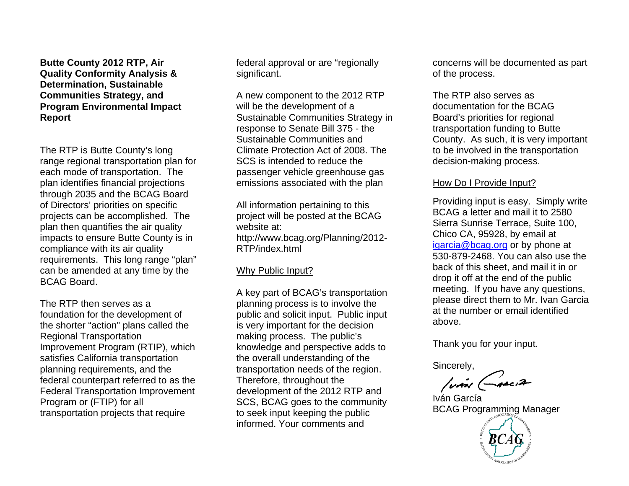**Butte County 2012 RTP, Air Quality Conformity Analysis & Determination, Sustainable Communities Strategy, and Program Environmental Impact Report** 

The RTP is Butte County's long range regional transportation plan for each mode of transportation. The plan identifies financial projections through 2035 and the BCAG Board of Directors' priorities on specific projects can be accomplished. The plan then quantifies the air quality impacts to ensure Butte County is in compliance with its air quality requirements. This long range "plan" can be amended at any time by the BCAG Board.

The RTP then serves as a foundation for the development of the shorter "action" plans called the Regional Transportation Improvement Program (RTIP), which satisfies California transportation planning requirements, and the federal counterpart referred to as the Federal Transportation Improvement Program or (FTIP) for all transportation projects that require

federal approval or are "regionally significant.

A new component to the 2012 RTP will be the development of a Sustainable Communities Strategy in response to Senate Bill 375 - the Sustainable Communities and Climate Protection Act of 2008. The SCS is intended to reduce the passenger vehicle greenhouse gas emissions associated with the plan

All information pertaining to this project will be posted at the BCAG website at: http://www.bcag.org/Planning/2012- RTP/index.html

# Why Public Input?

A key part of BCAG's transportation planning process is to involve the public and solicit input. Public input is very important for the decision making process. The public's knowledge and perspective adds to the overall understanding of the transportation needs of the region. Therefore, throughout the development of the 2012 RTP and SCS, BCAG goes to the community to seek input keeping the public informed. Your comments and

concerns will be documented as part of the process.

The RTP also serves as documentation for the BCAG Board's priorities for regional transportation funding to Butte County. As such, it is very important to be involved in the transportation decision-making process.

## How Do I Provide Input?

Providing input is easy. Simply write BCAG a letter and mail it to 2580 Sierra Sunrise Terrace, Suite 100, Chico CA, 95928, by email at [igarcia@bcag.org](mailto:igarcia@bcag.org) or by phone at 530-879-2468. You can also use the back of this sheet, and mail it in or drop it off at the end of the public meeting. If you have any questions, please direct them to Mr. Ivan Garcia at the number or email identified above.

Thank you for your input.

Sincerely,

Iván García BCAG Programming Manager